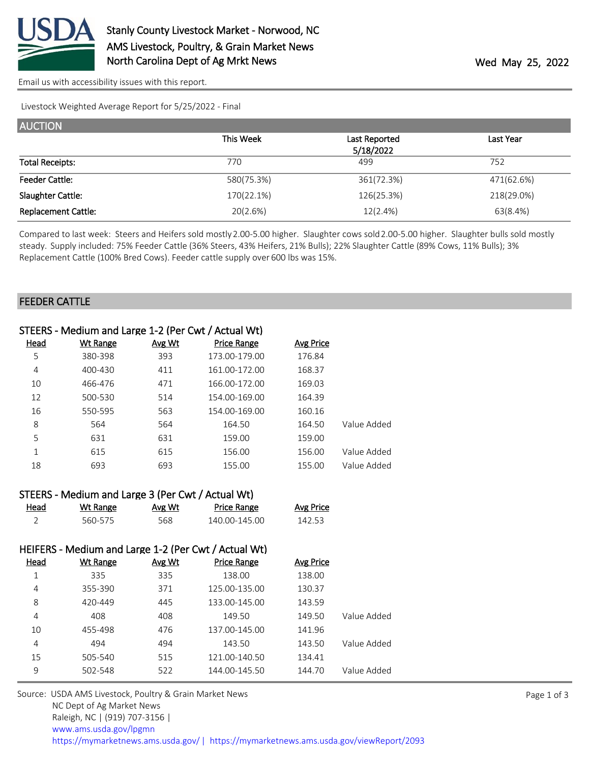

[Email us with accessibility issues with this report.](mailto:mars@ams.usda.gov?subject=508%20issue)

Livestock Weighted Average Report for 5/25/2022 - Final

| <b>AUCTION</b>             |            |               |            |
|----------------------------|------------|---------------|------------|
|                            | This Week  | Last Reported | Last Year  |
|                            |            | 5/18/2022     |            |
| <b>Total Receipts:</b>     | 770        | 499           | 752        |
| <b>Feeder Cattle:</b>      | 580(75.3%) | 361(72.3%)    | 471(62.6%) |
| Slaughter Cattle:          | 170(22.1%) | 126(25.3%)    | 218(29.0%) |
| <b>Replacement Cattle:</b> | 20(2.6%)   | 12(2.4%)      | 63(8.4%)   |

Compared to last week: Steers and Heifers sold mostly 2.00-5.00 higher. Slaughter cows sold 2.00-5.00 higher. Slaughter bulls sold mostly steady. Supply included: 75% Feeder Cattle (36% Steers, 43% Heifers, 21% Bulls); 22% Slaughter Cattle (89% Cows, 11% Bulls); 3% Replacement Cattle (100% Bred Cows). Feeder cattle supply over 600 lbs was 15%.

#### FEEDER CATTLE

|             | STEERS - Medium and Large 1-2 (Per Cwt / Actual Wt) |        |                    |           |             |
|-------------|-----------------------------------------------------|--------|--------------------|-----------|-------------|
| <u>Head</u> | Wt Range                                            | Avg Wt | <b>Price Range</b> | Avg Price |             |
| 5           | 380-398                                             | 393    | 173.00-179.00      | 176.84    |             |
| 4           | 400-430                                             | 411    | 161.00-172.00      | 168.37    |             |
| 10          | 466-476                                             | 471    | 166.00-172.00      | 169.03    |             |
| 12          | 500-530                                             | 514    | 154.00-169.00      | 164.39    |             |
| 16          | 550-595                                             | 563    | 154.00-169.00      | 160.16    |             |
| 8           | 564                                                 | 564    | 164.50             | 164.50    | Value Added |
| 5           | 631                                                 | 631    | 159.00             | 159.00    |             |
| 1           | 615                                                 | 615    | 156.00             | 156.00    | Value Added |
| 18          | 693                                                 | 693    | 155.00             | 155.00    | Value Added |
|             |                                                     |        |                    |           |             |

|      | STEERS - Medium and Large 3 (Per Cwt / Actual Wt) |        |             |                  |
|------|---------------------------------------------------|--------|-------------|------------------|
| Head | Wt Range                                          | Avg Wt | Price Range | <b>Avg Price</b> |

| $   -$ |         | .            | .             | . |
|--------|---------|--------------|---------------|---|
|        | 560-575 | - ~ ~<br>אסכ | 140.00-145.00 |   |

#### HEIFERS - Medium and Large 1-2 (Per Cwt / Actual Wt)

| Head | <b>Wt Range</b> | Avg Wt | <b>Price Range</b> | <b>Avg Price</b> |             |
|------|-----------------|--------|--------------------|------------------|-------------|
| 1    | 335             | 335    | 138.00             | 138.00           |             |
| 4    | 355-390         | 371    | 125.00-135.00      | 130.37           |             |
| 8    | 420-449         | 445    | 133.00-145.00      | 143.59           |             |
| 4    | 408             | 408    | 149.50             | 149.50           | Value Added |
| 10   | 455-498         | 476    | 137.00-145.00      | 141.96           |             |
| 4    | 494             | 494    | 143.50             | 143.50           | Value Added |
| 15   | 505-540         | 515    | 121.00-140.50      | 134.41           |             |
| 9    | 502-548         | 522    | 144.00-145.50      | 144.70           | Value Added |
|      |                 |        |                    |                  |             |

Source: USDA AMS Livestock, Poultry & Grain Market News NC Dept of Ag Market News Raleigh, NC | (919) 707-3156 | [www.ams.usda.gov/lpgmn](https://www.ams.usda.gov/market-news) <https://mymarketnews.ams.usda.gov/> [|](https://www.ams.usda.gov/market-news) <https://mymarketnews.ams.usda.gov/viewReport/2093>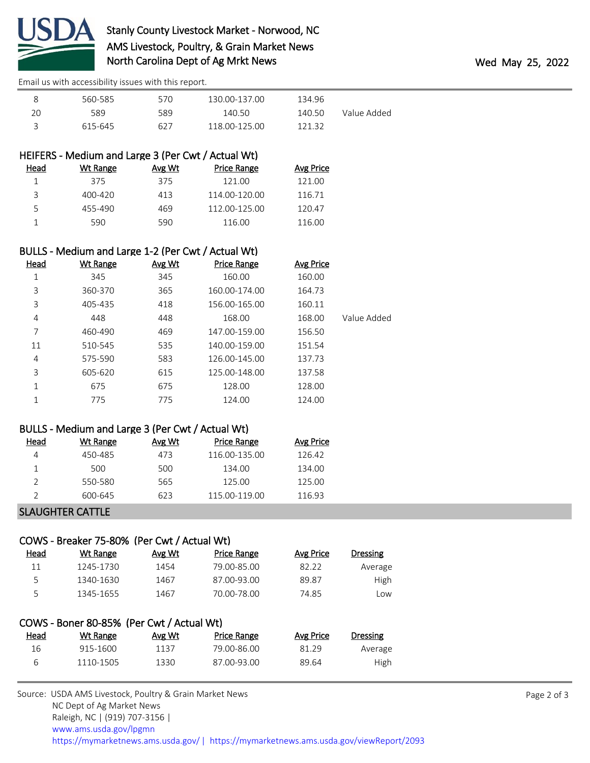

[Email us with accessibility issues with this report.](mailto:mars@ams.usda.gov?subject=508%20issue)

| Ջ  | 560-585 | 570 | 130.00-137.00 | 134.96 |             |
|----|---------|-----|---------------|--------|-------------|
| 20 | 589     | 589 | 140.50        | 140.50 | Value Added |
|    | 615-645 | 627 | 118 00-125 00 | 121 32 |             |

# HEIFERS - Medium and Large 3 (Per Cwt / Actual Wt)

| Head | Wt Range | Avg Wt | <b>Price Range</b> | Avg Price |
|------|----------|--------|--------------------|-----------|
|      | 375      | 375    | 121.00             | 121.00    |
|      | 400-420  | 413    | 114.00-120.00      | 116.71    |
| 5    | 455-490  | 469    | 112.00-125.00      | 120.47    |
|      | 590      | 590    | 116.00             | 116.00    |
|      |          |        |                    |           |

### BULLS - Medium and Large 1-2 (Per Cwt / Actual Wt)

| Head | <b>Wt Range</b> | Avg Wt | <b>Price Range</b> | <b>Avg Price</b> |             |
|------|-----------------|--------|--------------------|------------------|-------------|
| 1    | 345             | 345    | 160.00             | 160.00           |             |
| 3    | 360-370         | 365    | 160.00-174.00      | 164.73           |             |
| 3    | 405-435         | 418    | 156.00-165.00      | 160.11           |             |
| 4    | 448             | 448    | 168.00             | 168.00           | Value Added |
| 7    | 460-490         | 469    | 147.00-159.00      | 156.50           |             |
| 11   | 510-545         | 535    | 140.00-159.00      | 151.54           |             |
| 4    | 575-590         | 583    | 126.00-145.00      | 137.73           |             |
| 3    | 605-620         | 615    | 125.00-148.00      | 137.58           |             |
| 1    | 675             | 675    | 128.00             | 128.00           |             |
| 1    | 775             | 775    | 124.00             | 124.00           |             |

### BULLS - Medium and Large 3 (Per Cwt / Actual Wt)

| Head | Wt Range | Avg Wt | Price Range   | Avg Price |
|------|----------|--------|---------------|-----------|
|      | 450-485  | 473    | 116.00-135.00 | 126.42    |
|      | 500      | 500    | 134.00        | 134.00    |
|      | 550-580  | 565    | 125.00        | 125.OO    |
|      | 600-645  | 623    | 115.00-119.00 | 116.93    |
|      |          |        |               |           |

#### SLAUGHTER CATTLE

### COWS - Breaker 75-80% (Per Cwt / Actual Wt)

| <u>Head</u> | Wt Range  | Avg Wt | Price Range | Avg Price | <b>Dressing</b> |  |
|-------------|-----------|--------|-------------|-----------|-----------------|--|
| 11          | 1245-1730 | 1454   | 79.00-85.00 | 82.22     | Average         |  |
| 5           | 1340-1630 | 1467   | 87.00-93.00 | 89.87     | High            |  |
| ς           | 1345-1655 | 1467   | 70.00-78.00 | 74.85     | Low             |  |

## COWS - Boner 80-85% (Per Cwt / Actual Wt) Head Wt Range Avg Wt Price Range Avg Price Dressing 16 915-1600 1137 79.00-86.00 81.29 Average 6 1110-1505 1330 87.00-93.00 89.64 High